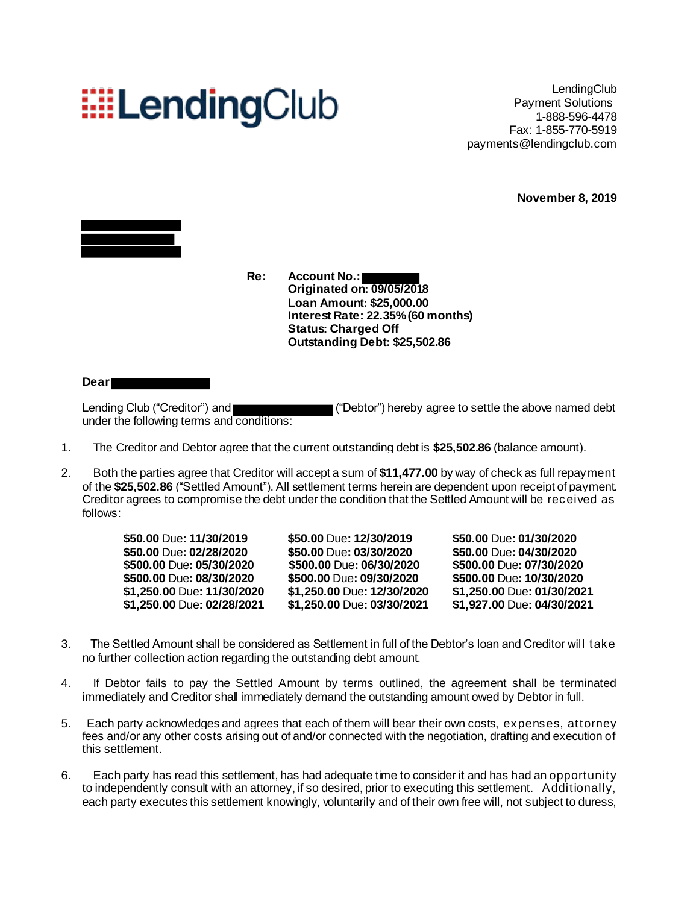# **EELendingClub**

LendingClub Payment Solutions 1-888-596-4478 Fax: 1-855-770-5919 payments@lendingclub.com

**November 8, 2019**



**Re: Account No.: Originated on: 09/05/2018 Loan Amount: \$25,000.00 Interest Rate: 22.35%(60 months) Status: Charged Off Outstanding Debt: \$25,502.86**

### **Dear**

Lending Club ("Creditor") and  $\blacksquare$  ("Debtor") hereby agree to settle the above named debt under the following terms and conditions:

- 1. The Creditor and Debtor agree that the current outstanding debt is **\$25,502.86** (balance amount).
- 2. Both the parties agree that Creditor will accept a sum of **\$11,477.00** by way of check as full repayment of the **\$25,502.86** ("Settled Amount"). All settlement terms herein are dependent upon receipt of payment. Creditor agrees to compromise the debt under the condition that the Settled Amount will be received as follows:

| \$50.00 Due: 11/30/2019    | \$50.00 Due: 12/30/2019    | \$50.00 Due: 01/30/2020    |
|----------------------------|----------------------------|----------------------------|
| \$50.00 Due: 02/28/2020    | \$50.00 Due: 03/30/2020    | \$50.00 Due: 04/30/2020    |
| \$500.00 Due: 05/30/2020   | \$500.00 Due: 06/30/2020   | \$500.00 Due: 07/30/2020   |
| \$500.00 Due: 08/30/2020   | \$500.00 Due: 09/30/2020   | \$500.00 Due: 10/30/2020   |
| \$1,250.00 Due: 11/30/2020 | \$1,250.00 Due: 12/30/2020 | \$1,250.00 Due: 01/30/2021 |
| \$1,250.00 Due: 02/28/2021 | \$1,250.00 Due: 03/30/2021 | \$1,927.00 Due: 04/30/2021 |

- 3. The Settled Amount shall be considered as Settlement in full of the Debtor's loan and Creditor will take no further collection action regarding the outstanding debt amount.
- 4. If Debtor fails to pay the Settled Amount by terms outlined, the agreement shall be terminated immediately and Creditor shall immediately demand the outstanding amount owed by Debtor in full.
- 5. Each party acknowledges and agrees that each of them will bear their own costs, expenses, attorney fees and/or any other costs arising out of and/or connected with the negotiation, drafting and execution of this settlement.
- 6. Each party has read this settlement, has had adequate time to consider it and has had an opportunity to independently consult with an attorney, if so desired, prior to executing this settlement. Additionally, each party executes this settlement knowingly, voluntarily and of their own free will, not subject to duress,